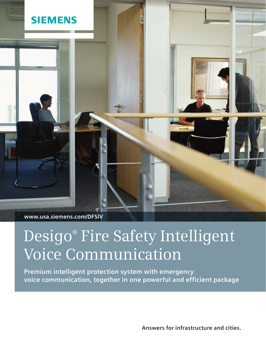

**www.usa.siemens.com/DFSIV**

# Desigo® Fire Safety Intelligent Voice Communication

**Premium intelligent protection system with emergency voice communication, together in one powerful and efficient package**

**Answers for infrastructure and cities.**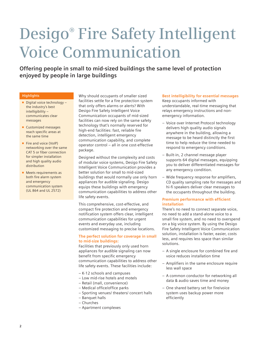# **Desigo® Fire Safety Intelligent Voice Communication**

**Offering people in small to mid-sized buildings the same level of protection enjoyed by people in large buildings**

#### **Highlights**

- $\blacksquare$  Digital voice technology the industry's best intelligibility – communicates clear messages
- **n** Customized messages reach specific areas at the same time
- Fire and voice (VoIP) networking over the same CAT 5 or fiber connection for simpler installation and high quality audio distribution
- $\blacksquare$  Meets requirements as both fire alarm system and emergency communication system (UL 864 and UL 2572)

Why should occupants of smaller sized facilities settle for a fire protection system that only offers alarms or alerts? With Desigo Fire Safety Intelligent Voice Communication occupants of mid-sized facilities can now rely on the same safety technology that's normally reserved for high-end facilities: fast, reliable fire detection, intelligent emergency communication capability, and complete operator control – all in one cost-effective package.

Designed without the complexity and costs of modular voice systems, Desigo Fire Safety Intelligent Voice Communication provides a better solution for small to mid-sized buildings that would normally use only horn appliances for audible signaling. Desigo equips these buildings with emergency communication capabilities to address other life safety events.

This comprehensive, cost-effective, and compact fire protection and emergency notification system offers clear, intelligent communication capabilities for urgent events and everyday use, including customized messaging to precise locations.

## **The perfect solution for coverage in small to mid-size buildings:**

Facilities that previously only used horn appliances for audible signaling can now benefit from specific emergency communication capabilities to address other life safety events. These facilities include:

- K-12 schools and campuses
- Low mid-rise hotels and motels
- Retail (mall, convenience)
- Medical office/office parks
- Sporting venues/ theaters/ concert halls
- Banquet halls
- Churches
- Apartment complexes

#### **Best intelligibility for essential messages**

Keep occupants informed with understandable, real-time messaging that relays emergency instructions and nonemergency information.

- Voice over Internet Protocol technology delivers high quality audio signals anywhere in the building, allowing a message to be heard distinctly the first time to help reduce the time needed to respond to emergency conditions.
- Built-in, 2 channel message player supports 64 digital messages, equipping you to deliver differentiated messages for any emergency condition.
- Wide frequency response for amplifiers, CD quality sampling rate for messages and hi-fi speakers deliver clear messages to the occupants throughout the building.

## **Premium performance with efficient installation**

There's no need to connect separate voice, no need to add a stand-alone voice to a small fire system, and no need to overspend on a big voice system. By using the Desigo Fire Safety Intelligent Voice Communication solution, installation is faster, easier, costs less, and requires less space than similar solutions.

- A single enclosure for combined fire and voice reduces installation time
- Amplifiers in the same enclosure require less wall space
- A common conductor for networking all data & audio saves time and money
- One shared battery set for fire/voice system uses backup power more efficiently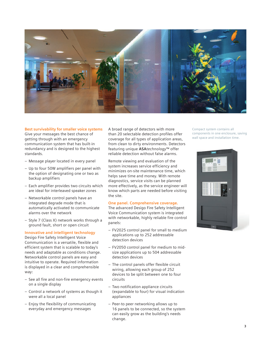

#### **Best survivability for smaller voice systems**

Give your messages the best chance of getting through with an emergency communication system that has built-in redundancy and is designed to the highest standards.

- Message player located in every panel
- Up to four 50W amplifiers per panel with the option of designating one or two as backup amplifiers
- Each amplifier provides two circuits which are ideal for interleaved speaker zones
- Networkable control panels have an integrated degrade mode that is automatically activated to communicate alarms over the network
- Style 7 (Class X) network works through a ground fault, short or open circuit

#### **Innovative and intelligent technology**

Desigo Fire Safety Intelligent Voice Communication is a versatile, flexible and efficient system that is scalable to today's needs and adaptable as conditions change. Networkable control panels are easy and intuitive to operate. Required information is displayed in a clear and comprehensible way:

- See all fire and non-fire emergency events on a single display
- Control a network of systems as though it were all a local panel
- Enjoy the flexibility of communicating everyday and emergency messages

A broad range of detectors with more than 20 selectable detection profiles offer coverage for all types of application areas, from clean to dirty environments. Detectors featuring unique **ASA***technology*™ offer reliable detection without false alarms.

Remote viewing and evaluation of the system increases service efficiency and minimizes on-site maintenance time, which helps save time and money. With remote diagnostics, service visits can be planned more effectively, as the service engineer will know which parts are needed before visiting the site.

# **One panel. Comprehensive coverage.**

The advanced Desigo Fire Safety Intelligent Voice Communication system is integrated with networkable, highly reliable fire control panels:

- FV2025 control panel for small to medium applications up to 252 addressable detection devices
- FV2050 control panel for medium to midsize applications up to 504 addressable detection devices
- The control panels offer flexible circuit wiring, allowing each group of 252 devices to be split between one to four circuits
- Two notification appliance circuits (expandable to four) for visual indication appliances
- Peer-to peer networking allows up to 16 panels to be connected, so the system can easily grow as the building's needs change.

Compact system contains all components in one enclosure, saving wall space and installation time.